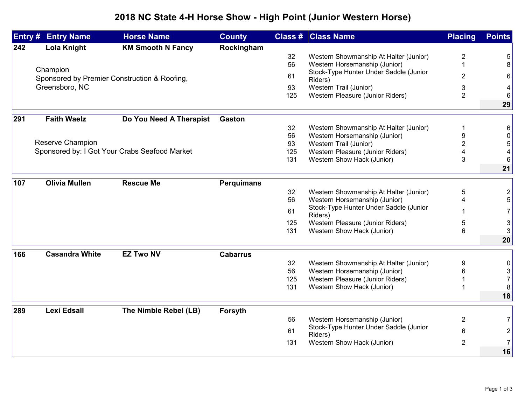## **2018 NC State 4-H Horse Show - High Point (Junior Western Horse)**

| Entry# | <b>Entry Name</b>                                                          | <b>Horse Name</b>        | <b>County</b>     |     | <b>Class # Class Name</b>                         | <b>Placing</b> | <b>Points</b>  |
|--------|----------------------------------------------------------------------------|--------------------------|-------------------|-----|---------------------------------------------------|----------------|----------------|
| 242    | Lola Knight                                                                | <b>KM Smooth N Fancy</b> | Rockingham        |     |                                                   |                |                |
|        |                                                                            |                          |                   | 32  | Western Showmanship At Halter (Junior)            | 2              | 5              |
|        |                                                                            |                          |                   | 56  | Western Horsemanship (Junior)                     | 1              | 8              |
|        | Champion<br>Sponsored by Premier Construction & Roofing,<br>Greensboro, NC |                          |                   | 61  | Stock-Type Hunter Under Saddle (Junior<br>Riders) | $\overline{2}$ | 6              |
|        |                                                                            |                          |                   | 93  | Western Trail (Junior)                            | 3              | 4              |
|        |                                                                            |                          |                   | 125 | Western Pleasure (Junior Riders)                  | $\overline{2}$ | 6              |
|        |                                                                            |                          |                   |     |                                                   |                | 29             |
| 291    | <b>Faith Waelz</b>                                                         | Do You Need A Therapist  | <b>Gaston</b>     |     |                                                   |                |                |
|        |                                                                            |                          |                   | 32  | Western Showmanship At Halter (Junior)            | 1              | 6              |
|        |                                                                            |                          |                   | 56  | Western Horsemanship (Junior)                     | 9              | 0              |
|        | Reserve Champion                                                           |                          |                   | 93  | Western Trail (Junior)                            | $\overline{2}$ | 5              |
|        | Sponsored by: I Got Your Crabs Seafood Market                              |                          |                   | 125 | Western Pleasure (Junior Riders)                  |                | 4              |
|        |                                                                            |                          |                   | 131 | Western Show Hack (Junior)                        | 3              | 6              |
|        |                                                                            |                          |                   |     |                                                   |                | 21             |
| 107    | <b>Olivia Mullen</b>                                                       | <b>Rescue Me</b>         | <b>Perquimans</b> |     |                                                   |                |                |
|        |                                                                            |                          |                   | 32  | Western Showmanship At Halter (Junior)            | 5              | $\overline{2}$ |
|        |                                                                            |                          |                   | 56  | Western Horsemanship (Junior)                     | $\overline{4}$ | 5              |
|        |                                                                            |                          |                   | 61  | Stock-Type Hunter Under Saddle (Junior            |                | 7              |
|        |                                                                            |                          |                   |     | Riders)                                           |                |                |
|        |                                                                            |                          |                   | 125 | Western Pleasure (Junior Riders)                  | 5              | $\mathsf 3$    |
|        |                                                                            |                          |                   | 131 | Western Show Hack (Junior)                        | 6              | 3              |
|        |                                                                            |                          |                   |     |                                                   |                | 20             |
| 166    | <b>Casandra White</b>                                                      | <b>EZ Two NV</b>         | <b>Cabarrus</b>   |     |                                                   |                |                |
|        |                                                                            |                          |                   | 32  | Western Showmanship At Halter (Junior)            | 9              | 0              |
|        |                                                                            |                          |                   | 56  | Western Horsemanship (Junior)                     | 6              | 3              |
|        |                                                                            |                          |                   | 125 | Western Pleasure (Junior Riders)                  |                | $\overline{7}$ |
|        |                                                                            |                          |                   | 131 | Western Show Hack (Junior)                        | 1              | 8              |
|        |                                                                            |                          |                   |     |                                                   |                | 18             |
| 289    | <b>Lexi Edsall</b>                                                         | The Nimble Rebel (LB)    | Forsyth           |     |                                                   |                |                |
|        |                                                                            |                          |                   | 56  | Western Horsemanship (Junior)                     | $\overline{2}$ | 7              |
|        |                                                                            |                          |                   | 61  | Stock-Type Hunter Under Saddle (Junior            | 6              | $\overline{c}$ |
|        |                                                                            |                          |                   | 131 | Riders)<br>Western Show Hack (Junior)             | $\overline{2}$ | 7              |
|        |                                                                            |                          |                   |     |                                                   |                | 16             |
|        |                                                                            |                          |                   |     |                                                   |                |                |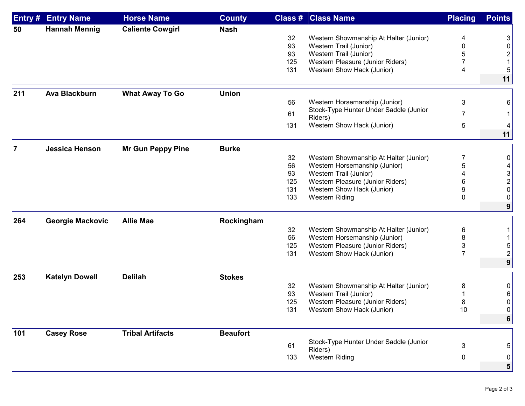| Entry #        | <b>Entry Name</b>       | <b>Horse Name</b>        | <b>County</b>   |     | <b>Class # Class Name</b>              | <b>Placing</b> | <b>Points</b> |
|----------------|-------------------------|--------------------------|-----------------|-----|----------------------------------------|----------------|---------------|
| 50             | <b>Hannah Mennig</b>    | <b>Caliente Cowgirl</b>  | <b>Nash</b>     |     |                                        |                |               |
|                |                         |                          |                 | 32  | Western Showmanship At Halter (Junior) | 4              | 3             |
|                |                         |                          |                 | 93  | Western Trail (Junior)                 | 0              | 0             |
|                |                         |                          |                 | 93  | Western Trail (Junior)                 |                |               |
|                |                         |                          |                 | 125 | Western Pleasure (Junior Riders)       |                |               |
|                |                         |                          |                 | 131 | Western Show Hack (Junior)             | 4              |               |
|                |                         |                          |                 |     |                                        |                | 11            |
| 211            | <b>Ava Blackburn</b>    | <b>What Away To Go</b>   | <b>Union</b>    |     |                                        |                |               |
|                |                         |                          |                 | 56  | Western Horsemanship (Junior)          | 3              | 6             |
|                |                         |                          |                 | 61  | Stock-Type Hunter Under Saddle (Junior | 7              |               |
|                |                         |                          |                 |     | Riders)                                |                |               |
|                |                         |                          |                 | 131 | Western Show Hack (Junior)             | 5              | 11            |
|                |                         |                          |                 |     |                                        |                |               |
| $\overline{7}$ | <b>Jessica Henson</b>   | <b>Mr Gun Peppy Pine</b> | <b>Burke</b>    |     |                                        |                |               |
|                |                         |                          |                 | 32  | Western Showmanship At Halter (Junior) | 7              | 0             |
|                |                         |                          |                 | 56  | Western Horsemanship (Junior)          | 5              | 4             |
|                |                         |                          |                 | 93  | Western Trail (Junior)                 |                | 3             |
|                |                         |                          |                 | 125 | Western Pleasure (Junior Riders)       | 6              | 2             |
|                |                         |                          |                 | 131 | Western Show Hack (Junior)             | 9              | 0             |
|                |                         |                          |                 | 133 | <b>Western Riding</b>                  | 0              | 0             |
|                |                         |                          |                 |     |                                        |                | 9             |
| 264            | <b>Georgie Mackovic</b> | <b>Allie Mae</b>         | Rockingham      |     |                                        |                |               |
|                |                         |                          |                 | 32  | Western Showmanship At Halter (Junior) | 6              |               |
|                |                         |                          |                 | 56  | Western Horsemanship (Junior)          | 8              |               |
|                |                         |                          |                 | 125 | Western Pleasure (Junior Riders)       | 3              |               |
|                |                         |                          |                 | 131 | Western Show Hack (Junior)             | 7              |               |
|                |                         |                          |                 |     |                                        |                | 9             |
|                |                         |                          |                 |     |                                        |                |               |
| 253            | <b>Katelyn Dowell</b>   | <b>Delilah</b>           | <b>Stokes</b>   |     |                                        |                |               |
|                |                         |                          |                 | 32  | Western Showmanship At Halter (Junior) | 8              | 0             |
|                |                         |                          |                 | 93  | Western Trail (Junior)                 |                |               |
|                |                         |                          |                 | 125 | Western Pleasure (Junior Riders)       | 8              | 0             |
|                |                         |                          |                 | 131 | Western Show Hack (Junior)             | 10             | $\Omega$      |
|                |                         |                          |                 |     |                                        |                | 6             |
| 101            | <b>Casey Rose</b>       | <b>Tribal Artifacts</b>  | <b>Beaufort</b> |     |                                        |                |               |
|                |                         |                          |                 |     | Stock-Type Hunter Under Saddle (Junior |                |               |
|                |                         |                          |                 | 61  | Riders)                                | 3              | 5             |
|                |                         |                          |                 | 133 | <b>Western Riding</b>                  | 0              | 0             |
|                |                         |                          |                 |     |                                        |                | 5             |